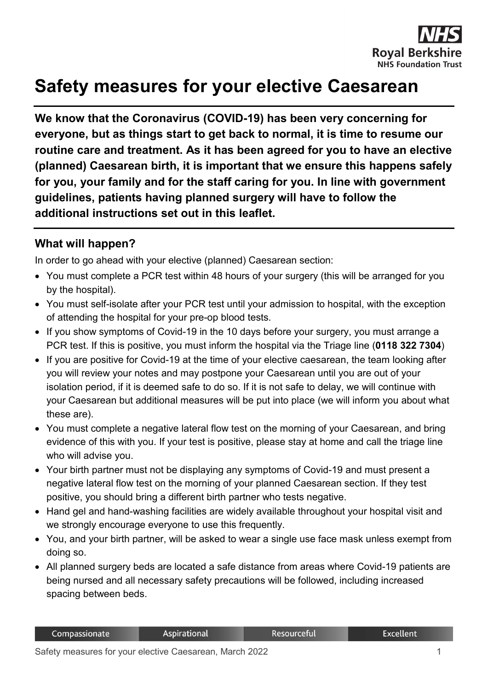

## **Safety measures for your elective Caesarean**

**We know that the Coronavirus (COVID-19) has been very concerning for everyone, but as things start to get back to normal, it is time to resume our routine care and treatment. As it has been agreed for you to have an elective (planned) Caesarean birth, it is important that we ensure this happens safely for you, your family and for the staff caring for you. In line with government guidelines, patients having planned surgery will have to follow the additional instructions set out in this leaflet.**

## **What will happen?**

In order to go ahead with your elective (planned) Caesarean section:

- You must complete a PCR test within 48 hours of your surgery (this will be arranged for you by the hospital).
- You must self-isolate after your PCR test until your admission to hospital, with the exception of attending the hospital for your pre-op blood tests.
- If you show symptoms of Covid-19 in the 10 days before your surgery, you must arrange a PCR test. If this is positive, you must inform the hospital via the Triage line (**0118 322 7304**)
- If you are positive for Covid-19 at the time of your elective caesarean, the team looking after you will review your notes and may postpone your Caesarean until you are out of your isolation period, if it is deemed safe to do so. If it is not safe to delay, we will continue with your Caesarean but additional measures will be put into place (we will inform you about what these are).
- You must complete a negative lateral flow test on the morning of your Caesarean, and bring evidence of this with you. If your test is positive, please stay at home and call the triage line who will advise you.
- Your birth partner must not be displaying any symptoms of Covid-19 and must present a negative lateral flow test on the morning of your planned Caesarean section. If they test positive, you should bring a different birth partner who tests negative.
- Hand gel and hand-washing facilities are widely available throughout your hospital visit and we strongly encourage everyone to use this frequently.
- You, and your birth partner, will be asked to wear a single use face mask unless exempt from doing so.
- All planned surgery beds are located a safe distance from areas where Covid-19 patients are being nursed and all necessary safety precautions will be followed, including increased spacing between beds.

Resourceful